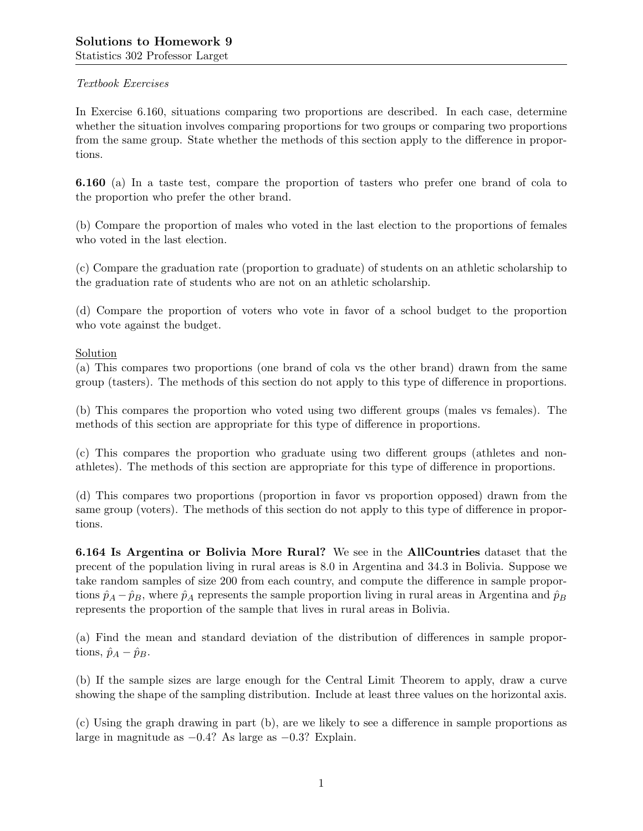# Textbook Exercises

In Exercise 6.160, situations comparing two proportions are described. In each case, determine whether the situation involves comparing proportions for two groups or comparing two proportions from the same group. State whether the methods of this section apply to the difference in proportions.

6.160 (a) In a taste test, compare the proportion of tasters who prefer one brand of cola to the proportion who prefer the other brand.

(b) Compare the proportion of males who voted in the last election to the proportions of females who voted in the last election.

(c) Compare the graduation rate (proportion to graduate) of students on an athletic scholarship to the graduation rate of students who are not on an athletic scholarship.

(d) Compare the proportion of voters who vote in favor of a school budget to the proportion who vote against the budget.

# Solution

(a) This compares two proportions (one brand of cola vs the other brand) drawn from the same group (tasters). The methods of this section do not apply to this type of difference in proportions.

(b) This compares the proportion who voted using two different groups (males vs females). The methods of this section are appropriate for this type of difference in proportions.

(c) This compares the proportion who graduate using two different groups (athletes and nonathletes). The methods of this section are appropriate for this type of difference in proportions.

(d) This compares two proportions (proportion in favor vs proportion opposed) drawn from the same group (voters). The methods of this section do not apply to this type of difference in proportions.

6.164 Is Argentina or Bolivia More Rural? We see in the AllCountries dataset that the precent of the population living in rural areas is 8.0 in Argentina and 34.3 in Bolivia. Suppose we take random samples of size 200 from each country, and compute the difference in sample proportions  $\hat{p}_A - \hat{p}_B$ , where  $\hat{p}_A$  represents the sample proportion living in rural areas in Argentina and  $\hat{p}_B$ represents the proportion of the sample that lives in rural areas in Bolivia.

(a) Find the mean and standard deviation of the distribution of differences in sample proportions,  $\hat{p}_A - \hat{p}_B$ .

(b) If the sample sizes are large enough for the Central Limit Theorem to apply, draw a curve showing the shape of the sampling distribution. Include at least three values on the horizontal axis.

(c) Using the graph drawing in part (b), are we likely to see a difference in sample proportions as large in magnitude as −0.4? As large as −0.3? Explain.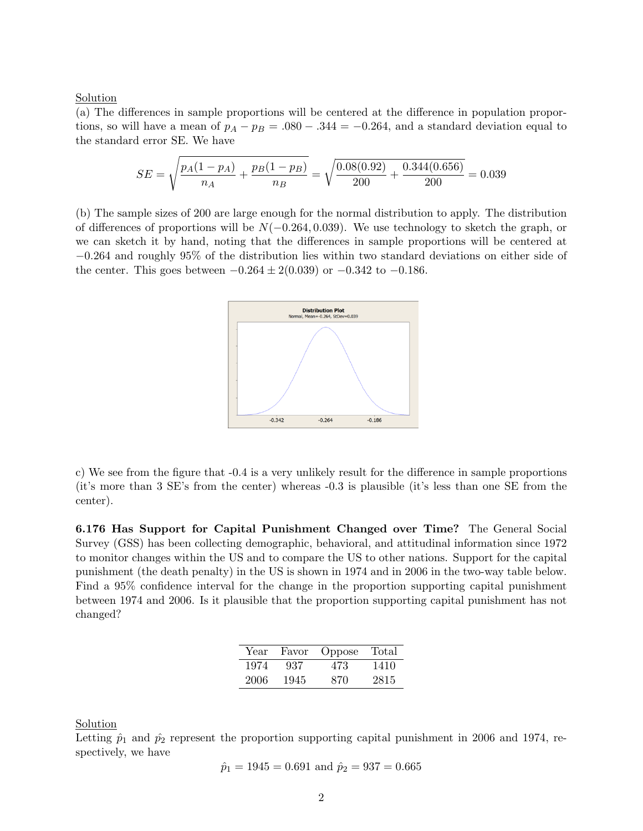## Solution

(a) The differences in sample proportions will be centered at the difference in population proportions, so will have a mean of  $p_A - p_B = .080 - .344 = -0.264$ , and a standard deviation equal to the standard error SE. We have

$$
SE = \sqrt{\frac{p_A(1 - p_A)}{n_A} + \frac{p_B(1 - p_B)}{n_B}} = \sqrt{\frac{0.08(0.92)}{200} + \frac{0.344(0.656)}{200}} = 0.039
$$

(b) The sample sizes of 200 are large enough for the normal distribution to apply. The distribution of differences of proportions will be  $N(-0.264, 0.039)$ . We use technology to sketch the graph, or we can sketch it by hand, noting that the differences in sample proportions will be centered at −0.264 and roughly 95% of the distribution lies within two standard deviations on either side of the center. This goes between  $-0.264 \pm 2(0.039)$  or  $-0.342$  to  $-0.186$ .



c) We see from the figure that -0.4 is a very unlikely result for the difference in sample proportions (it's more than 3 SE's from the center) whereas -0.3 is plausible (it's less than one SE from the center).

6.176 Has Support for Capital Punishment Changed over Time? The General Social Survey (GSS) has been collecting demographic, behavioral, and attitudinal information since 1972 to monitor changes within the US and to compare the US to other nations. Support for the capital punishment (the death penalty) in the US is shown in 1974 and in 2006 in the two-way table below. Find a 95% confidence interval for the change in the proportion supporting capital punishment between 1974 and 2006. Is it plausible that the proportion supporting capital punishment has not changed?

| Year | Favor | Oppose | Total |
|------|-------|--------|-------|
| 1974 | 937   | 473    | 1410  |
| 2006 | 1945  | 870    | 2815  |

Solution

Letting  $\hat{p}_1$  and  $\hat{p}_2$  represent the proportion supporting capital punishment in 2006 and 1974, respectively, we have

$$
\hat{p}_1 = 1945 = 0.691
$$
 and  $\hat{p}_2 = 937 = 0.665$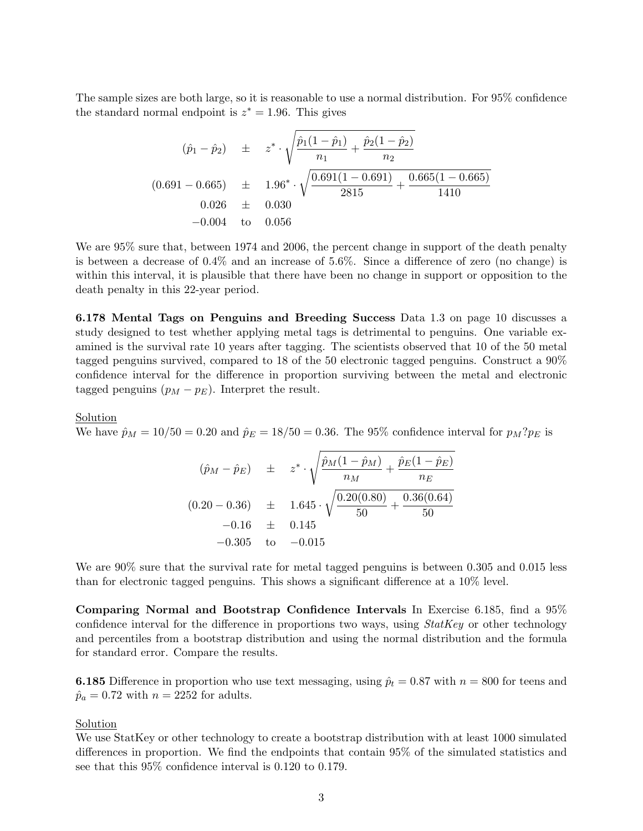The sample sizes are both large, so it is reasonable to use a normal distribution. For 95% confidence the standard normal endpoint is  $z^* = 1.96$ . This gives

$$
(\hat{p}_1 - \hat{p}_2) \pm z^* \cdot \sqrt{\frac{\hat{p}_1(1-\hat{p}_1)}{n_1} + \frac{\hat{p}_2(1-\hat{p}_2)}{n_2}}
$$
  
(0.691 - 0.665)  $\pm 1.96^* \cdot \sqrt{\frac{0.691(1-0.691)}{2815} + \frac{0.665(1-0.665)}{1410}}$   
0.026  $\pm 0.030$   
-0.004 to 0.056

We are 95% sure that, between 1974 and 2006, the percent change in support of the death penalty is between a decrease of 0.4% and an increase of 5.6%. Since a difference of zero (no change) is within this interval, it is plausible that there have been no change in support or opposition to the death penalty in this 22-year period.

6.178 Mental Tags on Penguins and Breeding Success Data 1.3 on page 10 discusses a study designed to test whether applying metal tags is detrimental to penguins. One variable examined is the survival rate 10 years after tagging. The scientists observed that 10 of the 50 metal tagged penguins survived, compared to 18 of the 50 electronic tagged penguins. Construct a 90% confidence interval for the difference in proportion surviving between the metal and electronic tagged penguins  $(p_M - p_E)$ . Interpret the result.

#### Solution

We have  $\hat{p}_M = 10/50 = 0.20$  and  $\hat{p}_E = 18/50 = 0.36$ . The 95% confidence interval for  $p_M?p_E$  is

$$
(\hat{p}_M - \hat{p}_E) \pm z^* \cdot \sqrt{\frac{\hat{p}_M(1 - \hat{p}_M)}{n_M} + \frac{\hat{p}_E(1 - \hat{p}_E)}{n_E}}
$$
  
(0.20 - 0.36)  $\pm$  1.645  $\cdot \sqrt{\frac{0.20(0.80)}{50} + \frac{0.36(0.64)}{50}}$   
-0.16  $\pm$  0.145  
-0.305 to -0.015

We are  $90\%$  sure that the survival rate for metal tagged penguins is between 0.305 and 0.015 less than for electronic tagged penguins. This shows a significant difference at a 10% level.

Comparing Normal and Bootstrap Confidence Intervals In Exercise 6.185, find a 95% confidence interval for the difference in proportions two ways, using  $StatKey$  or other technology and percentiles from a bootstrap distribution and using the normal distribution and the formula for standard error. Compare the results.

**6.185** Difference in proportion who use text messaging, using  $\hat{p}_t = 0.87$  with  $n = 800$  for teens and  $\hat{p}_a = 0.72$  with  $n = 2252$  for adults.

### Solution

We use StatKey or other technology to create a bootstrap distribution with at least 1000 simulated differences in proportion. We find the endpoints that contain 95% of the simulated statistics and see that this 95% confidence interval is 0.120 to 0.179.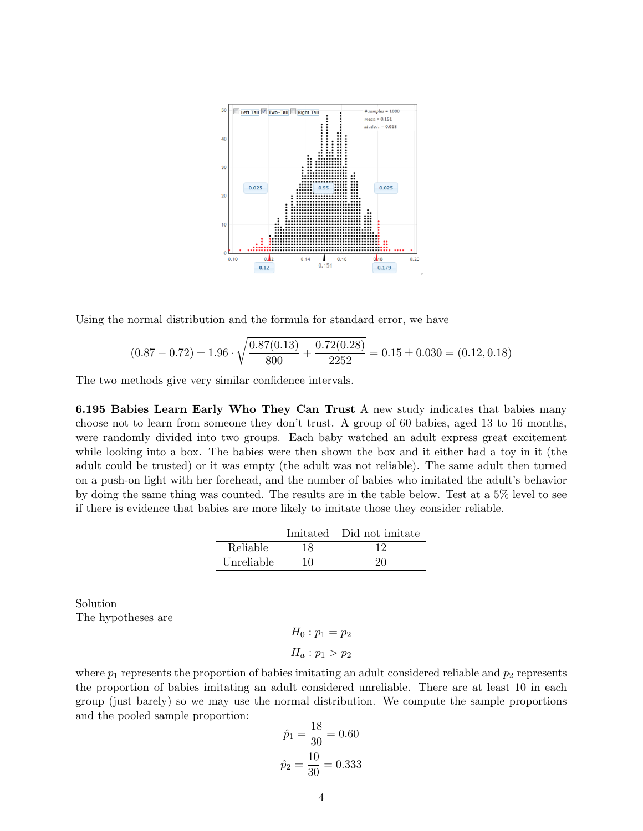

Using the normal distribution and the formula for standard error, we have

$$
(0.87 - 0.72) \pm 1.96 \cdot \sqrt{\frac{0.87(0.13)}{800} + \frac{0.72(0.28)}{2252}} = 0.15 \pm 0.030 = (0.12, 0.18)
$$

The two methods give very similar confidence intervals.

6.195 Babies Learn Early Who They Can Trust A new study indicates that babies many choose not to learn from someone they don't trust. A group of 60 babies, aged 13 to 16 months, were randomly divided into two groups. Each baby watched an adult express great excitement while looking into a box. The babies were then shown the box and it either had a toy in it (the adult could be trusted) or it was empty (the adult was not reliable). The same adult then turned on a push-on light with her forehead, and the number of babies who imitated the adult's behavior by doing the same thing was counted. The results are in the table below. Test at a 5% level to see if there is evidence that babies are more likely to imitate those they consider reliable.

|            |    | Imitated Did not imitate |
|------------|----|--------------------------|
| Reliable   | 18 | 12                       |
| Unreliable | 10 | 20                       |

Solution The hypotheses are

> $H_0: p_1 = p_2$  $H_a: p_1 > p_2$

where  $p_1$  represents the proportion of babies imitating an adult considered reliable and  $p_2$  represents the proportion of babies imitating an adult considered unreliable. There are at least 10 in each group (just barely) so we may use the normal distribution. We compute the sample proportions and the pooled sample proportion:

$$
\hat{p}_1 = \frac{18}{30} = 0.60
$$

$$
\hat{p}_2 = \frac{10}{30} = 0.333
$$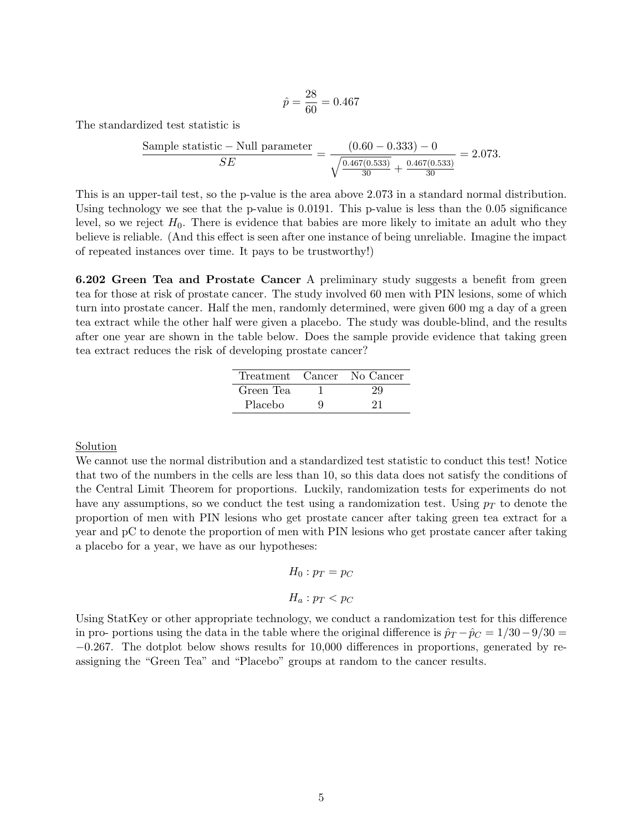$$
\hat{p} = \frac{28}{60} = 0.467
$$

The standardized test statistic is

Sample statistic – Null parameter 
$$
\frac{(0.60 - 0.333) - 0}{SE} = \frac{(0.60 - 0.333) - 0}{\sqrt{\frac{0.467(0.533)}{30} + \frac{0.467(0.533)}{30}}} = 2.073.
$$

This is an upper-tail test, so the p-value is the area above 2.073 in a standard normal distribution. Using technology we see that the p-value is 0.0191. This p-value is less than the 0.05 significance level, so we reject  $H_0$ . There is evidence that babies are more likely to imitate an adult who they believe is reliable. (And this effect is seen after one instance of being unreliable. Imagine the impact of repeated instances over time. It pays to be trustworthy!)

6.202 Green Tea and Prostate Cancer A preliminary study suggests a benefit from green tea for those at risk of prostate cancer. The study involved 60 men with PIN lesions, some of which turn into prostate cancer. Half the men, randomly determined, were given 600 mg a day of a green tea extract while the other half were given a placebo. The study was double-blind, and the results after one year are shown in the table below. Does the sample provide evidence that taking green tea extract reduces the risk of developing prostate cancer?

|           |   | Treatment Cancer No Cancer |
|-----------|---|----------------------------|
| Green Tea |   |                            |
| Placebo   | g | 21                         |

Solution

We cannot use the normal distribution and a standardized test statistic to conduct this test! Notice that two of the numbers in the cells are less than 10, so this data does not satisfy the conditions of the Central Limit Theorem for proportions. Luckily, randomization tests for experiments do not have any assumptions, so we conduct the test using a randomization test. Using  $p<sub>T</sub>$  to denote the proportion of men with PIN lesions who get prostate cancer after taking green tea extract for a year and pC to denote the proportion of men with PIN lesions who get prostate cancer after taking a placebo for a year, we have as our hypotheses:

$$
H_0: p_T = p_C
$$

$$
H_a: p_T < p_C
$$

Using StatKey or other appropriate technology, we conduct a randomization test for this difference in pro- portions using the data in the table where the original difference is  $\hat{p}_T - \hat{p}_C = 1/30 - 9/30 =$ −0.267. The dotplot below shows results for 10,000 differences in proportions, generated by reassigning the "Green Tea" and "Placebo" groups at random to the cancer results.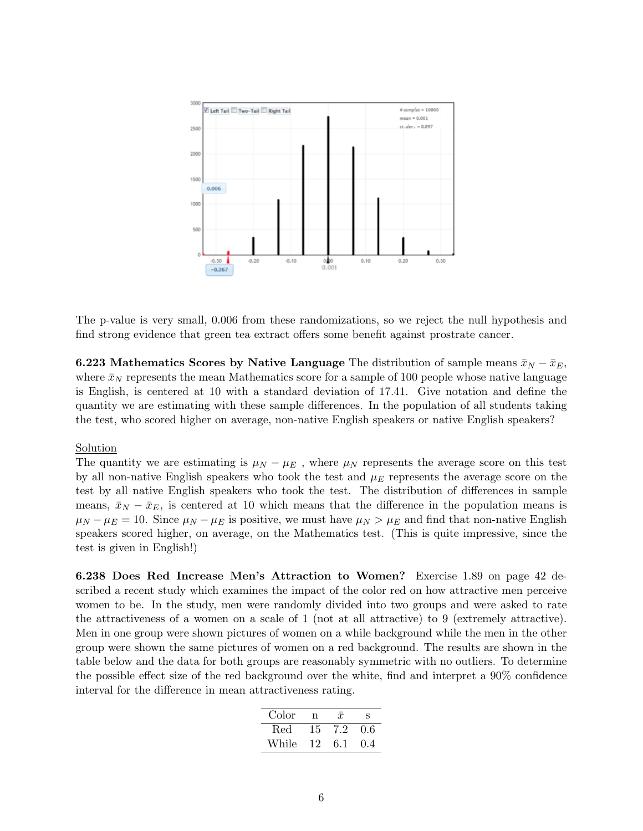

The p-value is very small, 0.006 from these randomizations, so we reject the null hypothesis and find strong evidence that green tea extract offers some benefit against prostrate cancer.

**6.223** Mathematics Scores by Native Language The distribution of sample means  $\bar{x}_N - \bar{x}_E$ , where  $\bar{x}_N$  represents the mean Mathematics score for a sample of 100 people whose native language is English, is centered at 10 with a standard deviation of 17.41. Give notation and define the quantity we are estimating with these sample differences. In the population of all students taking the test, who scored higher on average, non-native English speakers or native English speakers?

## Solution

The quantity we are estimating is  $\mu_N - \mu_E$ , where  $\mu_N$  represents the average score on this test by all non-native English speakers who took the test and  $\mu_E$  represents the average score on the test by all native English speakers who took the test. The distribution of differences in sample means,  $\bar{x}_N - \bar{x}_E$ , is centered at 10 which means that the difference in the population means is  $\mu_N - \mu_E = 10$ . Since  $\mu_N - \mu_E$  is positive, we must have  $\mu_N > \mu_E$  and find that non-native English speakers scored higher, on average, on the Mathematics test. (This is quite impressive, since the test is given in English!)

6.238 Does Red Increase Men's Attraction to Women? Exercise 1.89 on page 42 described a recent study which examines the impact of the color red on how attractive men perceive women to be. In the study, men were randomly divided into two groups and were asked to rate the attractiveness of a women on a scale of 1 (not at all attractive) to 9 (extremely attractive). Men in one group were shown pictures of women on a while background while the men in the other group were shown the same pictures of women on a red background. The results are shown in the table below and the data for both groups are reasonably symmetric with no outliers. To determine the possible effect size of the red background over the white, find and interpret a 90% confidence interval for the difference in mean attractiveness rating.

| Color | n  | $\mathcal{X}$ | s     |
|-------|----|---------------|-------|
| Red.  | 15 | 7.2           | 0.6   |
| While | 12 | 6.1           | (1.4) |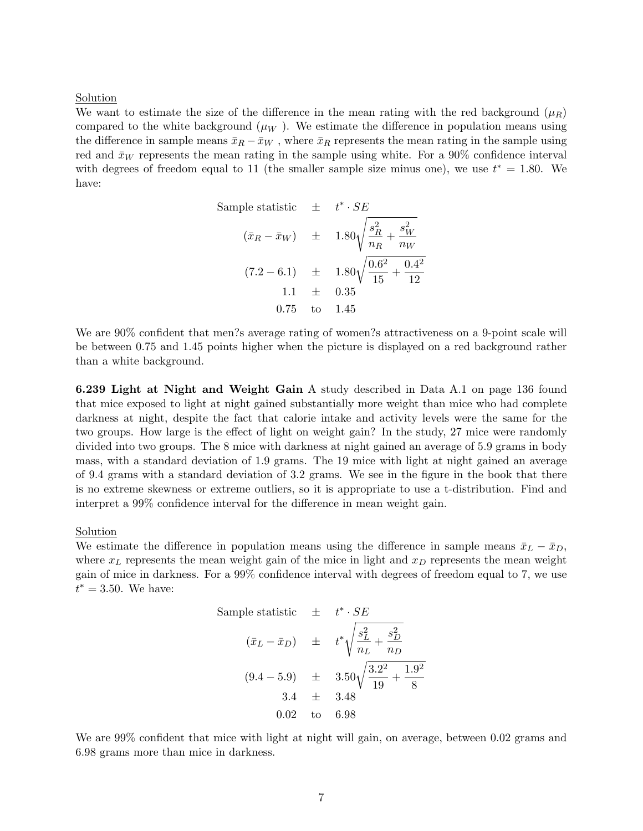### Solution

We want to estimate the size of the difference in the mean rating with the red background  $(\mu_R)$ compared to the white background  $(\mu_W)$ . We estimate the difference in population means using the difference in sample means  $\bar{x}_R - \bar{x}_W$ , where  $\bar{x}_R$  represents the mean rating in the sample using red and  $\bar{x}_W$  represents the mean rating in the sample using white. For a 90% confidence interval with degrees of freedom equal to 11 (the smaller sample size minus one), we use  $t^* = 1.80$ . We have:

Sample statistic 
$$
\pm
$$
  $t^* \cdot SE$   
\n $(\bar{x}_R - \bar{x}_W) \pm 1.80\sqrt{\frac{s_R^2}{n_R} + \frac{s_W^2}{n_W}}$   
\n $(7.2 - 6.1) \pm 1.80\sqrt{\frac{0.6^2}{15} + \frac{0.4^2}{12}}$   
\n $1.1 \pm 0.35$   
\n0.75 to 1.45

We are 90% confident that men?s average rating of women?s attractiveness on a 9-point scale will be between 0.75 and 1.45 points higher when the picture is displayed on a red background rather than a white background.

6.239 Light at Night and Weight Gain A study described in Data A.1 on page 136 found that mice exposed to light at night gained substantially more weight than mice who had complete darkness at night, despite the fact that calorie intake and activity levels were the same for the two groups. How large is the effect of light on weight gain? In the study, 27 mice were randomly divided into two groups. The 8 mice with darkness at night gained an average of 5.9 grams in body mass, with a standard deviation of 1.9 grams. The 19 mice with light at night gained an average of 9.4 grams with a standard deviation of 3.2 grams. We see in the figure in the book that there is no extreme skewness or extreme outliers, so it is appropriate to use a t-distribution. Find and interpret a 99% confidence interval for the difference in mean weight gain.

### Solution

We estimate the difference in population means using the difference in sample means  $\bar{x}_L - \bar{x}_D$ , where  $x_L$  represents the mean weight gain of the mice in light and  $x_D$  represents the mean weight gain of mice in darkness. For a 99% confidence interval with degrees of freedom equal to 7, we use  $t^* = 3.50$ . We have:

Sample statistic 
$$
\pm t^* \cdot SE
$$
  
\n $(\bar{x}_L - \bar{x}_D) \pm t^* \sqrt{\frac{s_L^2}{n_L} + \frac{s_D^2}{n_D}}$   
\n $(9.4 - 5.9) \pm 3.50 \sqrt{\frac{3.2^2}{19} + \frac{1.9^2}{8}}$   
\n $3.4 \pm 3.48$   
\n0.02 to 6.98

We are 99% confident that mice with light at night will gain, on average, between 0.02 grams and 6.98 grams more than mice in darkness.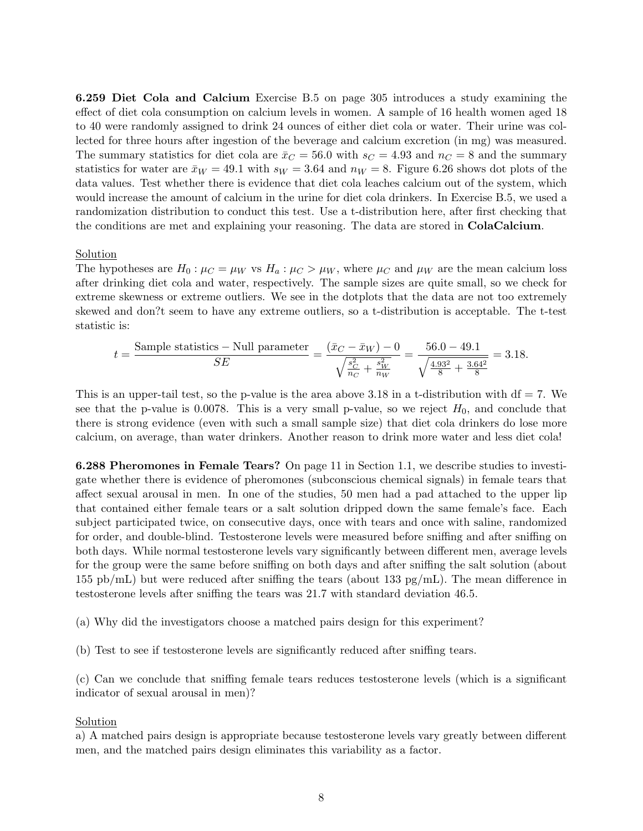6.259 Diet Cola and Calcium Exercise B.5 on page 305 introduces a study examining the effect of diet cola consumption on calcium levels in women. A sample of 16 health women aged 18 to 40 were randomly assigned to drink 24 ounces of either diet cola or water. Their urine was collected for three hours after ingestion of the beverage and calcium excretion (in mg) was measured. The summary statistics for diet cola are  $\bar{x}_C = 56.0$  with  $s_C = 4.93$  and  $n_C = 8$  and the summary statistics for water are  $\bar{x}_W = 49.1$  with  $s_W = 3.64$  and  $n_W = 8$ . Figure 6.26 shows dot plots of the data values. Test whether there is evidence that diet cola leaches calcium out of the system, which would increase the amount of calcium in the urine for diet cola drinkers. In Exercise B.5, we used a randomization distribution to conduct this test. Use a t-distribution here, after first checking that the conditions are met and explaining your reasoning. The data are stored in ColaCalcium.

## Solution

The hypotheses are  $H_0: \mu_C = \mu_W$  vs  $H_a: \mu_C > \mu_W$ , where  $\mu_C$  and  $\mu_W$  are the mean calcium loss after drinking diet cola and water, respectively. The sample sizes are quite small, so we check for extreme skewness or extreme outliers. We see in the dotplots that the data are not too extremely skewed and don?t seem to have any extreme outliers, so a t-distribution is acceptable. The t-test statistic is:

$$
t = \frac{\text{Sample statistics} - \text{Null parameter}}{SE} = \frac{(\bar{x}_C - \bar{x}_W) - 0}{\sqrt{\frac{s_C^2}{n_C} + \frac{s_W^2}{n_W}}} = \frac{56.0 - 49.1}{\sqrt{\frac{4.93^2}{8} + \frac{3.64^2}{8}}} = 3.18.
$$

This is an upper-tail test, so the p-value is the area above 3.18 in a t-distribution with  $df = 7$ . We see that the p-value is 0.0078. This is a very small p-value, so we reject  $H_0$ , and conclude that there is strong evidence (even with such a small sample size) that diet cola drinkers do lose more calcium, on average, than water drinkers. Another reason to drink more water and less diet cola!

6.288 Pheromones in Female Tears? On page 11 in Section 1.1, we describe studies to investigate whether there is evidence of pheromones (subconscious chemical signals) in female tears that affect sexual arousal in men. In one of the studies, 50 men had a pad attached to the upper lip that contained either female tears or a salt solution dripped down the same female's face. Each subject participated twice, on consecutive days, once with tears and once with saline, randomized for order, and double-blind. Testosterone levels were measured before sniffing and after sniffing on both days. While normal testosterone levels vary significantly between different men, average levels for the group were the same before sniffing on both days and after sniffing the salt solution (about 155 pb/mL) but were reduced after sniffing the tears (about 133 pg/mL). The mean difference in testosterone levels after sniffing the tears was 21.7 with standard deviation 46.5.

(a) Why did the investigators choose a matched pairs design for this experiment?

(b) Test to see if testosterone levels are significantly reduced after sniffing tears.

(c) Can we conclude that sniffing female tears reduces testosterone levels (which is a significant indicator of sexual arousal in men)?

### Solution

a) A matched pairs design is appropriate because testosterone levels vary greatly between different men, and the matched pairs design eliminates this variability as a factor.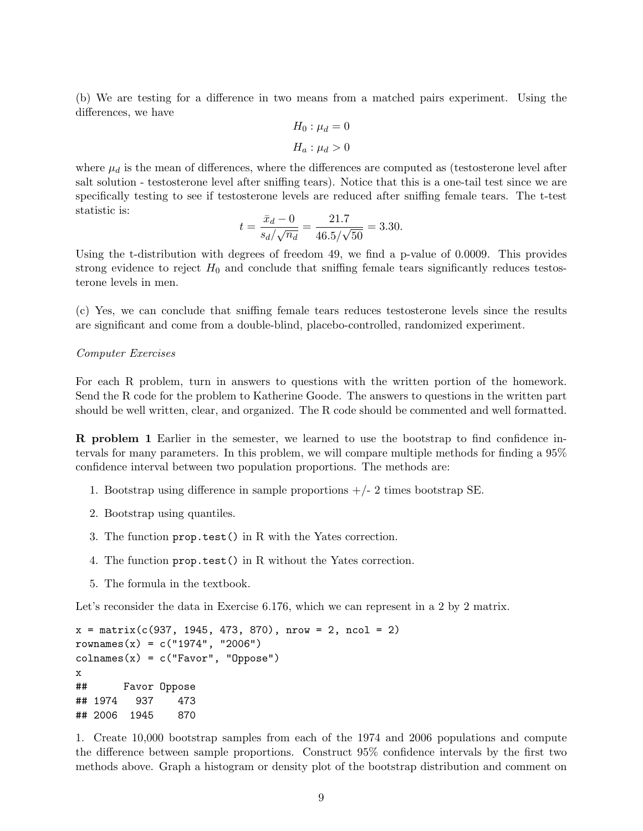(b) We are testing for a difference in two means from a matched pairs experiment. Using the differences, we have

$$
H_0: \mu_d = 0
$$
  

$$
H_a: \mu_d > 0
$$

where  $\mu_d$  is the mean of differences, where the differences are computed as (testosterone level after salt solution - testosterone level after sniffing tears). Notice that this is a one-tail test since we are specifically testing to see if testosterone levels are reduced after sniffing female tears. The t-test statistic is:  $22.7$ 

$$
t = \frac{\bar{x}_d - 0}{s_d / \sqrt{n_d}} = \frac{21.7}{46.5 / \sqrt{50}} = 3.30.
$$

Using the t-distribution with degrees of freedom 49, we find a p-value of 0.0009. This provides strong evidence to reject  $H_0$  and conclude that sniffing female tears significantly reduces testosterone levels in men.

(c) Yes, we can conclude that sniffing female tears reduces testosterone levels since the results are significant and come from a double-blind, placebo-controlled, randomized experiment.

#### Computer Exercises

For each R problem, turn in answers to questions with the written portion of the homework. Send the R code for the problem to Katherine Goode. The answers to questions in the written part should be well written, clear, and organized. The R code should be commented and well formatted.

R problem 1 Earlier in the semester, we learned to use the bootstrap to find confidence intervals for many parameters. In this problem, we will compare multiple methods for finding a 95% confidence interval between two population proportions. The methods are:

- 1. Bootstrap using difference in sample proportions  $+/- 2$  times bootstrap SE.
- 2. Bootstrap using quantiles.
- 3. The function prop.test() in R with the Yates correction.
- 4. The function prop.test() in R without the Yates correction.
- 5. The formula in the textbook.

Let's reconsider the data in Exercise 6.176, which we can represent in a 2 by 2 matrix.

```
x = matrix(c(937, 1945, 473, 870), nrow = 2, ncol = 2)rownames(x) = c("1974", "2006")colnames(x) = c("Favor", "Oppose")x
## Favor Oppose
## 1974 937 473
## 2006 1945 870
```
1. Create 10,000 bootstrap samples from each of the 1974 and 2006 populations and compute the difference between sample proportions. Construct 95% confidence intervals by the first two methods above. Graph a histogram or density plot of the bootstrap distribution and comment on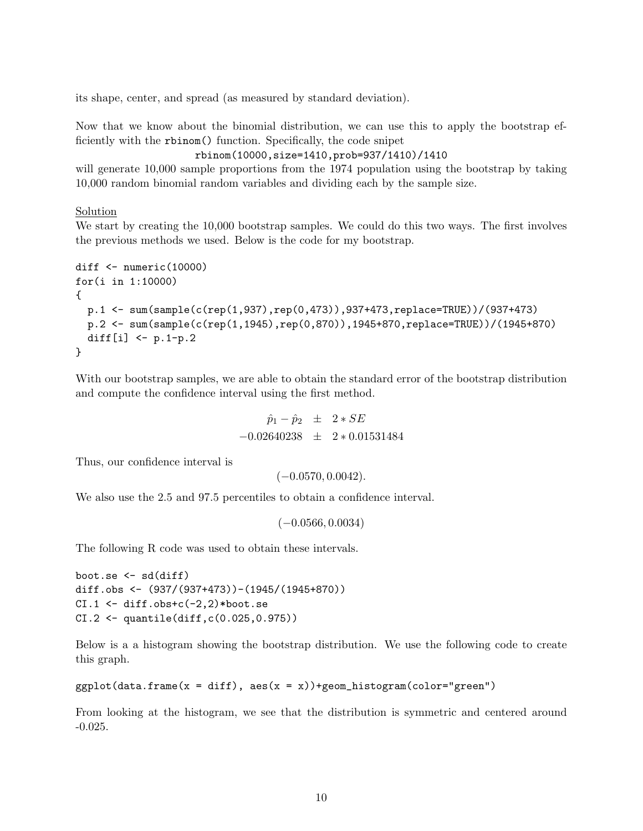its shape, center, and spread (as measured by standard deviation).

Now that we know about the binomial distribution, we can use this to apply the bootstrap efficiently with the rbinom() function. Specifically, the code snipet

```
rbinom(10000,size=1410,prob=937/1410)/1410
```
will generate  $10,000$  sample proportions from the 1974 population using the bootstrap by taking 10,000 random binomial random variables and dividing each by the sample size.

### Solution

We start by creating the 10,000 bootstrap samples. We could do this two ways. The first involves the previous methods we used. Below is the code for my bootstrap.

```
diff <- numeric(10000)
for(i in 1:10000)
{
 p.1 <- sum(sample(c(rep(1,937),rep(0,473)),937+473,replace=TRUE))/(937+473)
 p.2 <- sum(sample(c(rep(1,1945),rep(0,870)),1945+870,replace=TRUE))/(1945+870)
 diff[i] <- p.1-p.2}
```
With our bootstrap samples, we are able to obtain the standard error of the bootstrap distribution and compute the confidence interval using the first method.

> $\hat{p}_1 - \hat{p}_2 \pm 2 * SE$  $-0.02640238 \pm 2*0.01531484$

Thus, our confidence interval is

 $(-0.0570, 0.0042).$ 

We also use the 2.5 and 97.5 percentiles to obtain a confidence interval.

 $(-0.0566, 0.0034)$ 

The following R code was used to obtain these intervals.

```
boot.se \leq sd(diff)
diff.obs <- (937/(937+473))-(1945/(1945+870))
CI.1 \leftarrow diff.obs+c(-2,2)*boot.se
CI.2 <- quantile(diff,c(0.025,0.975))
```
Below is a a histogram showing the bootstrap distribution. We use the following code to create this graph.

```
ggplot(data.frame(x = diff), aes(x = x))+geom\_histogram(color="green")
```
From looking at the histogram, we see that the distribution is symmetric and centered around -0.025.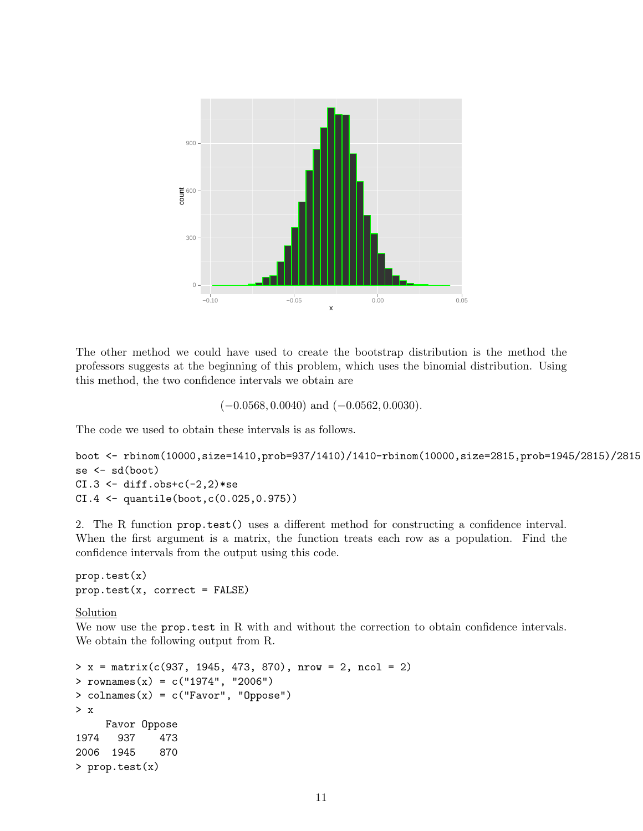

The other method we could have used to create the bootstrap distribution is the method the professors suggests at the beginning of this problem, which uses the binomial distribution. Using this method, the two confidence intervals we obtain are

 $(-0.0568, 0.0040)$  and  $(-0.0562, 0.0030)$ .

The code we used to obtain these intervals is as follows.

```
boot <- rbinom(10000,size=1410,prob=937/1410)/1410-rbinom(10000,size=2815,prob=1945/2815)/2815
se <- sd(boot)
CI.3 \leftarrow diff.obs+c(-2,2)*seCI.4 <- quantile(boot,c(0.025,0.975))
```
2. The R function prop.test() uses a different method for constructing a confidence interval. When the first argument is a matrix, the function treats each row as a population. Find the confidence intervals from the output using this code.

prop.test(x)  $prop.test(x, correct = FALSE)$ 

## Solution

We now use the **prop.test** in R with and without the correction to obtain confidence intervals. We obtain the following output from R.

```
> x = matrix(c(937, 1945, 473, 870), nrow = 2, ncol = 2)
> rownames(x) = c("1974", "2006")
> colnames(x) = c("Favor", "Oppose")
> x
    Favor Oppose
1974 937 473
2006 1945 870
> prop.test(x)
```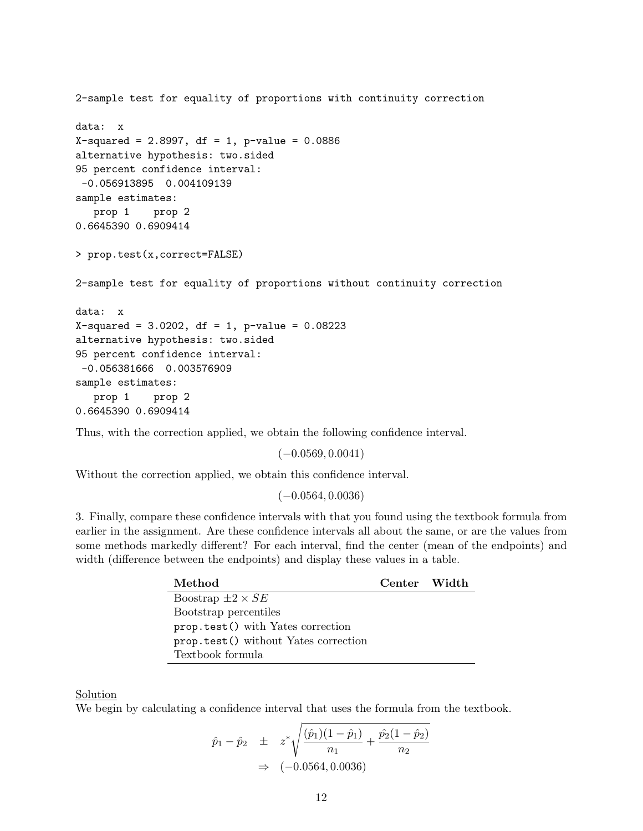```
2-sample test for equality of proportions with continuity correction
data: x
X-squared = 2.8997, df = 1, p-value = 0.0886
alternative hypothesis: two.sided
95 percent confidence interval:
-0.056913895 0.004109139
sample estimates:
  prop 1 prop 2
0.6645390 0.6909414
> prop.test(x,correct=FALSE)
2-sample test for equality of proportions without continuity correction
data: x
X-squared = 3.0202, df = 1, p-value = 0.08223
alternative hypothesis: two.sided
95 percent confidence interval:
-0.056381666 0.003576909
sample estimates:
  prop 1 prop 2
0.6645390 0.6909414
```
Thus, with the correction applied, we obtain the following confidence interval.

 $(-0.0569, 0.0041)$ 

Without the correction applied, we obtain this confidence interval.

 $(-0.0564, 0.0036)$ 

3. Finally, compare these confidence intervals with that you found using the textbook formula from earlier in the assignment. Are these confidence intervals all about the same, or are the values from some methods markedly different? For each interval, find the center (mean of the endpoints) and width (difference between the endpoints) and display these values in a table.

| Method                               | Center Width |  |
|--------------------------------------|--------------|--|
| Boostrap $\pm 2 \times SE$           |              |  |
| Bootstrap percentiles                |              |  |
| prop.test() with Yates correction    |              |  |
| prop.test() without Yates correction |              |  |
| Textbook formula                     |              |  |

### Solution

We begin by calculating a confidence interval that uses the formula from the textbook.

$$
\hat{p}_1 - \hat{p}_2 \quad \pm \quad z^* \sqrt{\frac{(\hat{p}_1)(1 - \hat{p}_1)}{n_1} + \frac{\hat{p}_2(1 - \hat{p}_2)}{n_2}} \\
 \Rightarrow \quad (-0.0564, 0.0036)
$$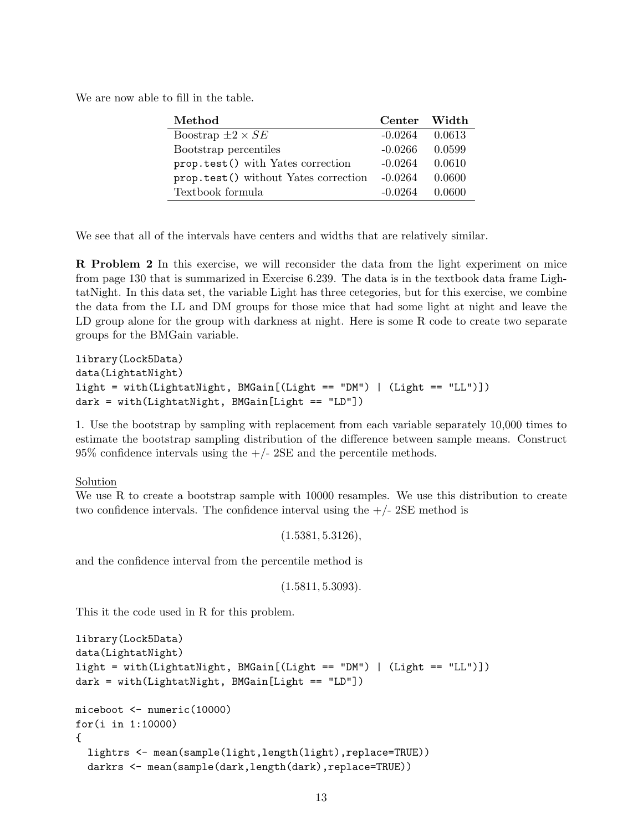We are now able to fill in the table.

| Method                               | Center Width |        |
|--------------------------------------|--------------|--------|
| Boostrap $\pm 2 \times SE$           | $-0.0264$    | 0.0613 |
| Bootstrap percentiles                | $-0.0266$    | 0.0599 |
| prop.test() with Yates correction    | $-0.0264$    | 0.0610 |
| prop.test() without Yates correction | $-0.0264$    | 0.0600 |
| Textbook formula                     | $-0.0264$    | 0.0600 |

We see that all of the intervals have centers and widths that are relatively similar.

R Problem 2 In this exercise, we will reconsider the data from the light experiment on mice from page 130 that is summarized in Exercise 6.239. The data is in the textbook data frame LightatNight. In this data set, the variable Light has three cetegories, but for this exercise, we combine the data from the LL and DM groups for those mice that had some light at night and leave the LD group alone for the group with darkness at night. Here is some R code to create two separate groups for the BMGain variable.

```
library(Lock5Data)
data(LightatNight)
light = with(LightatNight, BMGain[(Light == "DM") | (Light == "LL")])
dark = with(LightatNight, BMGain[Light == "LD"])
```
1. Use the bootstrap by sampling with replacement from each variable separately 10,000 times to estimate the bootstrap sampling distribution of the difference between sample means. Construct  $95\%$  confidence intervals using the  $+/- 2SE$  and the percentile methods.

**Solution** 

We use R to create a bootstrap sample with 10000 resamples. We use this distribution to create two confidence intervals. The confidence interval using the  $+/-2SE$  method is

 $(1.5381, 5.3126),$ 

and the confidence interval from the percentile method is

 $(1.5811, 5.3093).$ 

This it the code used in R for this problem.

```
library(Lock5Data)
data(LightatNight)
light = with(LightatNight, BMGain[(Light == "DM") | (Light == "LL")])
dark = with(LightatNight, BMGain[Light == "LD"])
miceboot <- numeric(10000)
for(i in 1:10000)
{
  lightrs <- mean(sample(light,length(light),replace=TRUE))
  darkrs <- mean(sample(dark,length(dark),replace=TRUE))
```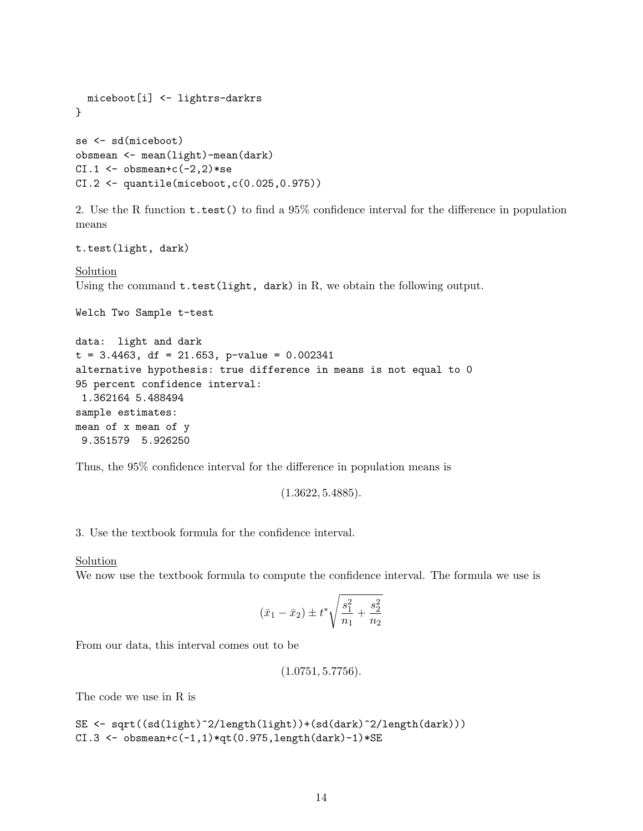```
miceboot[i] <- lightrs-darkrs
}
se <- sd(miceboot)
obsmean <- mean(light)-mean(dark)
CI.1 \leftarrow obsmean+c(-2,2)*seCI.2 \leftarrow quantile(miceboot, c(0.025, 0.975))
```
2. Use the R function t.test() to find a 95% confidence interval for the difference in population means

t.test(light, dark)

**Solution** Using the command  $t.test(light, dark)$  in R, we obtain the following output.

Welch Two Sample t-test

```
data: light and dark
t = 3.4463, df = 21.653, p-value = 0.002341
alternative hypothesis: true difference in means is not equal to 0
95 percent confidence interval:
 1.362164 5.488494
sample estimates:
mean of x mean of y
9.351579 5.926250
```
Thus, the 95% confidence interval for the difference in population means is

 $(1.3622, 5.4885).$ 

3. Use the textbook formula for the confidence interval.

Solution

We now use the textbook formula to compute the confidence interval. The formula we use is

$$
(\bar{x}_1 - \bar{x}_2) \pm t^* \sqrt{\frac{s_1^2}{n_1} + \frac{s_2^2}{n_2}}
$$

From our data, this interval comes out to be

```
(1.0751, 5.7756).
```
The code we use in R is

```
SE <- sqrt((sd(light)^2/length(light))+(sd(dark)^2/length(dark)))
CI.3 \leftarrow obsmean+c(-1,1)*qt(0.975,length(dark)-1)*SE
```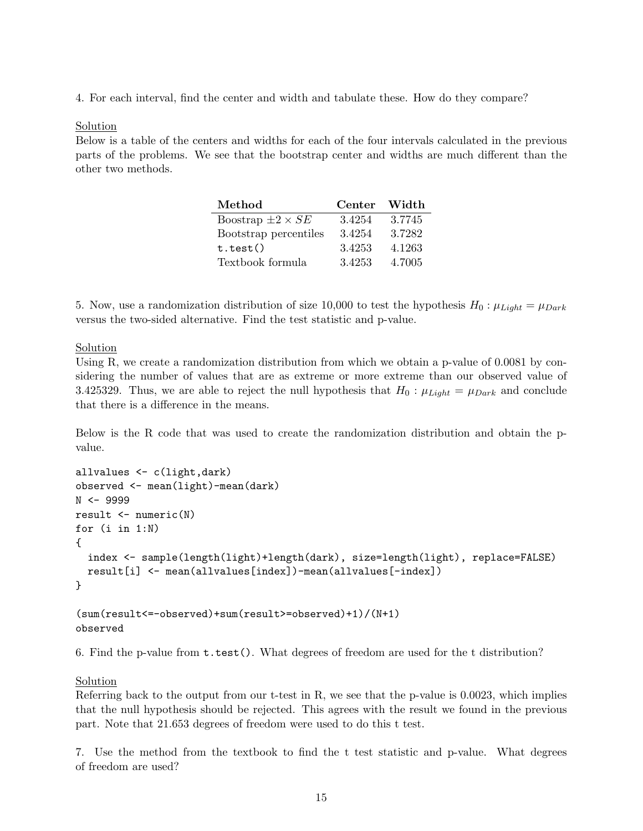4. For each interval, find the center and width and tabulate these. How do they compare?

## Solution

Below is a table of the centers and widths for each of the four intervals calculated in the previous parts of the problems. We see that the bootstrap center and widths are much different than the other two methods.

| Method                     | Center Width |        |
|----------------------------|--------------|--------|
| Boostrap $\pm 2 \times SE$ | 3.4254       | 3.7745 |
| Bootstrap percentiles      | 3.4254       | 3.7282 |
| t.test()                   | 3.4253       | 4.1263 |
| Textbook formula           | 3.4253       | 4.7005 |

5. Now, use a randomization distribution of size 10,000 to test the hypothesis  $H_0: \mu_{Light} = \mu_{Dark}$ versus the two-sided alternative. Find the test statistic and p-value.

# Solution

Using R, we create a randomization distribution from which we obtain a p-value of 0.0081 by considering the number of values that are as extreme or more extreme than our observed value of 3.425329. Thus, we are able to reject the null hypothesis that  $H_0$ :  $\mu_{Light} = \mu_{Dark}$  and conclude that there is a difference in the means.

Below is the R code that was used to create the randomization distribution and obtain the pvalue.

```
allvalues <- c(light,dark)
observed <- mean(light)-mean(dark)
N <- 9999
result <- numeric(N)
for (i in 1:N)
{
  index <- sample(length(light)+length(dark), size=length(light), replace=FALSE)
  result[i] <- mean(allvalues[index])-mean(allvalues[-index])
}
```
(sum(result<=-observed)+sum(result>=observed)+1)/(N+1) observed

6. Find the p-value from t.test(). What degrees of freedom are used for the t distribution?

# Solution

Referring back to the output from our t-test in R, we see that the p-value is 0.0023, which implies that the null hypothesis should be rejected. This agrees with the result we found in the previous part. Note that 21.653 degrees of freedom were used to do this t test.

7. Use the method from the textbook to find the t test statistic and p-value. What degrees of freedom are used?